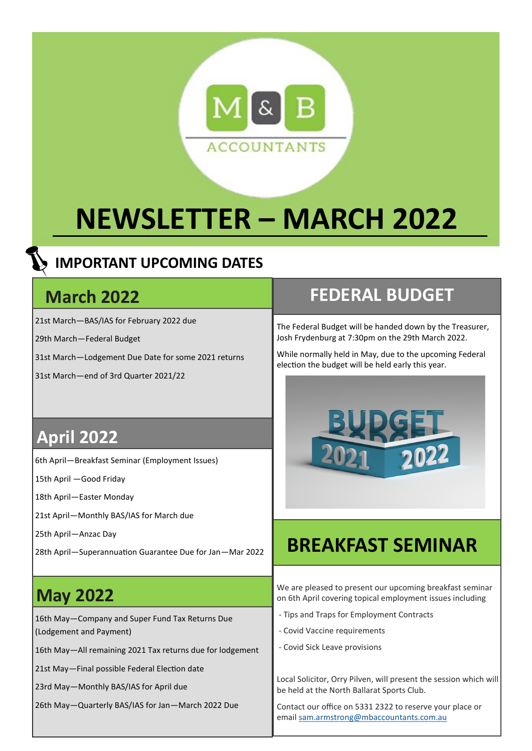

# **NEWSLETTER – MARCH 2022**

### **IMPORTANT UPCOMING DATES**

### **March 2022**

21st March—BAS/IAS for February 2022 due

29th March—Federal Budget

31st March—Lodgement Due Date for some 2021 returns

31st March—end of 3rd Quarter 2021/22

## **April 2022**

6th April—Breakfast Seminar (Employment Issues)

15th April —Good Friday

18th April—Easter Monday

21st April—Monthly BAS/IAS for March due

25th April—Anzac Day

28th April—Superannuation Guarantee Due for Jan—Mar 2022

# **May 2022**

16th May—Company and Super Fund Tax Returns Due (Lodgement and Payment)

16th May—All remaining 2021 Tax returns due for lodgement

21st May—Final possible Federal Election date

23rd May—Monthly BAS/IAS for April due

26th May—Quarterly BAS/IAS for Jan—March 2022 Due

## **FEDERAL BUDGET**

The Federal Budget will be handed down by the Treasurer, Josh Frydenburg at 7:30pm on the 29th March 2022.

While normally held in May, due to the upcoming Federal election the budget will be held early this year.



# **BREAKFAST SEMINAR**

We are pleased to present our upcoming breakfast seminar on 6th April covering topical employment issues including

- Tips and Traps for Employment Contracts
- Covid Vaccine requirements
- Covid Sick Leave provisions

Local Solicitor, Orry Pilven, will present the session which will be held at the North Ballarat Sports Club.

Contact our office on 5331 2322 to reserve your place or email [sam.armstrong@mbaccountants.com.au](mailto:sam.armstrong@mbaccountants.com.au)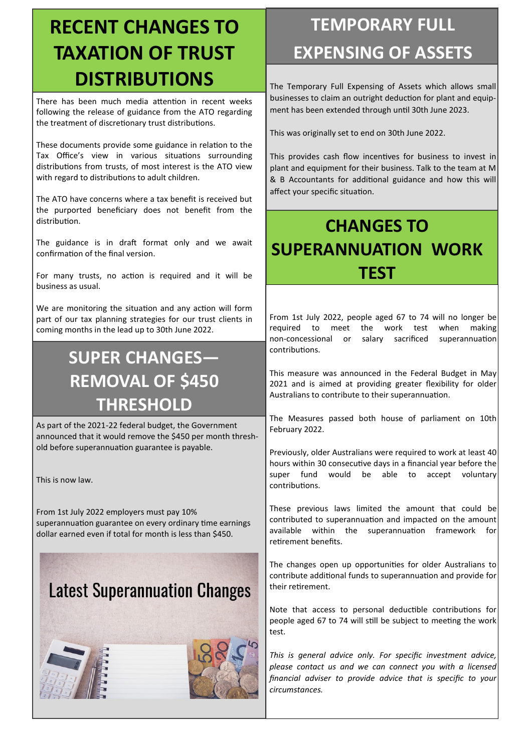# **RECENT CHANGES TO TAXATION OF TRUST DISTRIBUTIONS**

There has been much media attention in recent weeks following the release of guidance from the ATO regarding the treatment of discretionary trust distributions.

These documents provide some guidance in relation to the Tax Office's view in various situations surrounding distributions from trusts, of most interest is the ATO view with regard to distributions to adult children.

The ATO have concerns where a tax benefit is received but the purported beneficiary does not benefit from the distribution.

The guidance is in draft format only and we await confirmation of the final version.

For many trusts, no action is required and it will be business as usual.

We are monitoring the situation and any action will form part of our tax planning strategies for our trust clients in coming months in the lead up to 30th June 2022.

# **SUPER CHANGES— REMOVAL OF \$450 THRESHOLD**

As part of the 2021-22 federal budget, the Government announced that it would remove the \$450 per month threshold before superannuation guarantee is payable.

This is now law.

From 1st July 2022 employers must pay 10% superannuation guarantee on every ordinary time earnings dollar earned even if total for month is less than \$450.

# **Latest Superannuation Changes**





# **TEMPORARY FULL EXPENSING OF ASSETS**

The Temporary Full Expensing of Assets which allows small businesses to claim an outright deduction for plant and equipment has been extended through until 30th June 2023.

This was originally set to end on 30th June 2022.

This provides cash flow incentives for business to invest in plant and equipment for their business. Talk to the team at M & B Accountants for additional guidance and how this will affect your specific situation.

# **CHANGES TO SUPERANNUATION WORK TEST**

From 1st July 2022, people aged 67 to 74 will no longer be required to meet the work test when making non-concessional or salary sacrificed superannuation contributions.

This measure was announced in the Federal Budget in May 2021 and is aimed at providing greater flexibility for older Australians to contribute to their superannuation.

The Measures passed both house of parliament on 10th February 2022.

Previously, older Australians were required to work at least 40 hours within 30 consecutive days in a financial year before the super fund would be able to accept voluntary contributions.

These previous laws limited the amount that could be contributed to superannuation and impacted on the amount available within the superannuation framework for retirement benefits.

The changes open up opportunities for older Australians to contribute additional funds to superannuation and provide for their retirement.

Note that access to personal deductible contributions for people aged 67 to 74 will still be subject to meeting the work test.

*This is general advice only. For specific investment advice, please contact us and we can connect you with a licensed financial adviser to provide advice that is specific to your circumstances.*